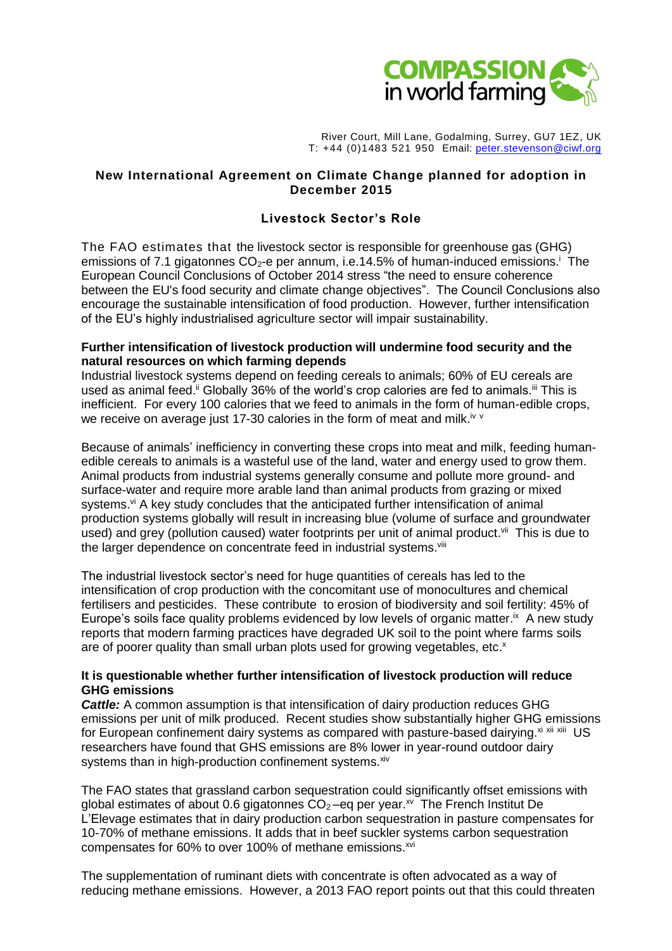

River Court, Mill Lane, Godalming, Surrey, GU7 1EZ, UK T: +44 (0)1483 521 950 Email: [peter.stevenson@ciwf.org](mailto:peter.stevenson@ciwf.org)

## **New International Agreement on Climate Change planned for adoption in December 2015**

## **Livestock Sector's Role**

The FAO estimates that the livestock sector is responsible for greenhouse gas (GHG) emissions of 7.1 gigatonnes  $CO<sub>2</sub>$ -e per annum, i.e.14.5% of human-induced emissions.<sup>i</sup> The European Council Conclusions of October 2014 stress "the need to ensure coherence between the EU's food security and climate change objectives". The Council Conclusions also encourage the sustainable intensification of food production. However, further intensification of the EU's highly industrialised agriculture sector will impair sustainability.

#### **Further intensification of livestock production will undermine food security and the natural resources on which farming depends**

Industrial livestock systems depend on feeding cereals to animals; 60% of EU cereals are used as animal feed.<sup>ii</sup> Globally 36% of the world's crop calories are fed to animals.<sup>iii</sup> This is inefficient. For every 100 calories that we feed to animals in the form of human-edible crops, we receive on average just 17-30 calories in the form of meat and milk.<sup>iv v</sup>

Because of animals' inefficiency in converting these crops into meat and milk, feeding humanedible cereals to animals is a wasteful use of the land, water and energy used to grow them. Animal products from industrial systems generally consume and pollute more ground- and surface-water and require more arable land than animal products from grazing or mixed systems.<sup>vi</sup> A key study concludes that the anticipated further intensification of animal production systems globally will result in increasing blue (volume of surface and groundwater used) and grey (pollution caused) water footprints per unit of animal product.<sup>vii</sup> This is due to the larger dependence on concentrate feed in industrial systems. Vill

The industrial livestock sector's need for huge quantities of cereals has led to the intensification of crop production with the concomitant use of monocultures and chemical fertilisers and pesticides. These contribute to erosion of biodiversity and soil fertility: 45% of Europe's soils face quality problems evidenced by low levels of organic matter.<sup>ix</sup> A new study reports that modern farming practices have degraded UK soil to the point where farms soils are of poorer quality than small urban plots used for growing vegetables, etc.<sup>x</sup>

## **It is questionable whether further intensification of livestock production will reduce GHG emissions**

*Cattle:* A common assumption is that intensification of dairy production reduces GHG emissions per unit of milk produced. Recent studies show substantially higher GHG emissions for European confinement dairy systems as compared with pasture-based dairying. Xi Xii Xiii US researchers have found that GHS emissions are 8% lower in year-round outdoor dairy systems than in high-production confinement systems. Xiv

The FAO states that grassland carbon sequestration could significantly offset emissions with global estimates of about 0.6 gigatonnes  $CO<sub>2</sub>$  –eq per year.<sup>xv</sup> The French Institut De L'Elevage estimates that in dairy production carbon sequestration in pasture compensates for 10-70% of methane emissions. It adds that in beef suckler systems carbon sequestration compensates for 60% to over 100% of methane emissions.<sup>xvi</sup>

The supplementation of ruminant diets with concentrate is often advocated as a way of reducing methane emissions. However, a 2013 FAO report points out that this could threaten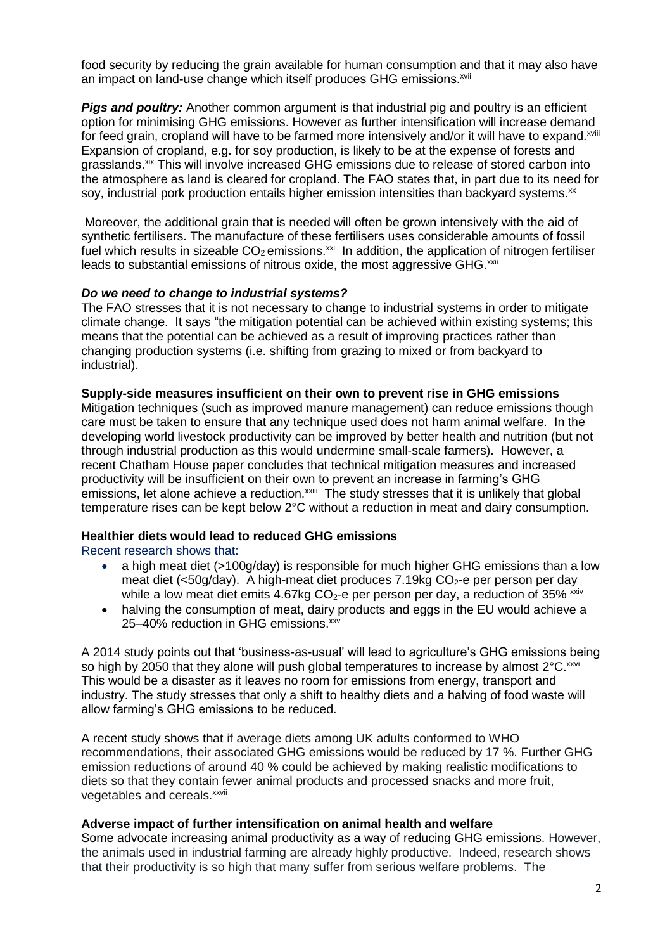food security by reducing the grain available for human consumption and that it may also have an impact on land-use change which itself produces GHG emissions.<sup>xvii</sup>

*Pigs and poultry:* Another common argument is that industrial pig and poultry is an efficient option for minimising GHG emissions. However as further intensification will increase demand for feed grain, cropland will have to be farmed more intensively and/or it will have to expand.<sup>xviii</sup> Expansion of cropland, e.g. for soy production, is likely to be at the expense of forests and grasslands.<sup>xix</sup> This will involve increased GHG emissions due to release of stored carbon into the atmosphere as land is cleared for cropland. The FAO states that, in part due to its need for soy, industrial pork production entails higher emission intensities than backyard systems.<sup>xx</sup>

Moreover, the additional grain that is needed will often be grown intensively with the aid of synthetic fertilisers. The manufacture of these fertilisers uses considerable amounts of fossil fuel which results in sizeable  $CO<sub>2</sub>$  emissions.<sup>xxi</sup> In addition, the application of nitrogen fertiliser leads to substantial emissions of nitrous oxide, the most aggressive GHG.<sup>xxii</sup>

## *Do we need to change to industrial systems?*

The FAO stresses that it is not necessary to change to industrial systems in order to mitigate climate change. It says "the mitigation potential can be achieved within existing systems; this means that the potential can be achieved as a result of improving practices rather than changing production systems (i.e. shifting from grazing to mixed or from backyard to industrial).

#### **Supply-side measures insufficient on their own to prevent rise in GHG emissions**

Mitigation techniques (such as improved manure management) can reduce emissions though care must be taken to ensure that any technique used does not harm animal welfare. In the developing world livestock productivity can be improved by better health and nutrition (but not through industrial production as this would undermine small-scale farmers). However, a recent Chatham House paper concludes that technical mitigation measures and increased productivity will be insufficient on their own to prevent an increase in farming's GHG emissions, let alone achieve a reduction.<sup>xxiii</sup> The study stresses that it is unlikely that global temperature rises can be kept below 2°C without a reduction in meat and dairy consumption.

## **Healthier diets would lead to reduced GHG emissions**

Recent research shows that:

- a high meat diet (>100g/day) is responsible for much higher GHG emissions than a low meat diet (<50g/day). A high-meat diet produces 7.19kg  $CO<sub>2</sub>$ -e per person per day while a low meat diet emits 4.67kg  $CO<sub>2</sub>$ -e per person per day, a reduction of 35% xxiv
- halving the consumption of meat, dairy products and eggs in the EU would achieve a 25-40% reduction in GHG emissions.<sup>xxv</sup>

A 2014 study points out that 'business-as-usual' will lead to agriculture's GHG emissions being so high by 2050 that they alone will push global temperatures to increase by almost  $2^{\circ}$ C.  $^{xxvi}$ This would be a disaster as it leaves no room for emissions from energy, transport and industry. The study stresses that only a shift to healthy diets and a halving of food waste will allow farming's GHG emissions to be reduced.

A recent study shows that if average diets among UK adults conformed to WHO recommendations, their associated GHG emissions would be reduced by 17 %. Further GHG emission reductions of around 40 % could be achieved by making realistic modifications to diets so that they contain fewer animal products and processed snacks and more fruit, vegetables and cereals.<sup>xxvii</sup>

#### **Adverse impact of further intensification on animal health and welfare**

Some advocate increasing animal productivity as a way of reducing GHG emissions. However, the animals used in industrial farming are already highly productive. Indeed, research shows that their productivity is so high that many suffer from serious welfare problems. The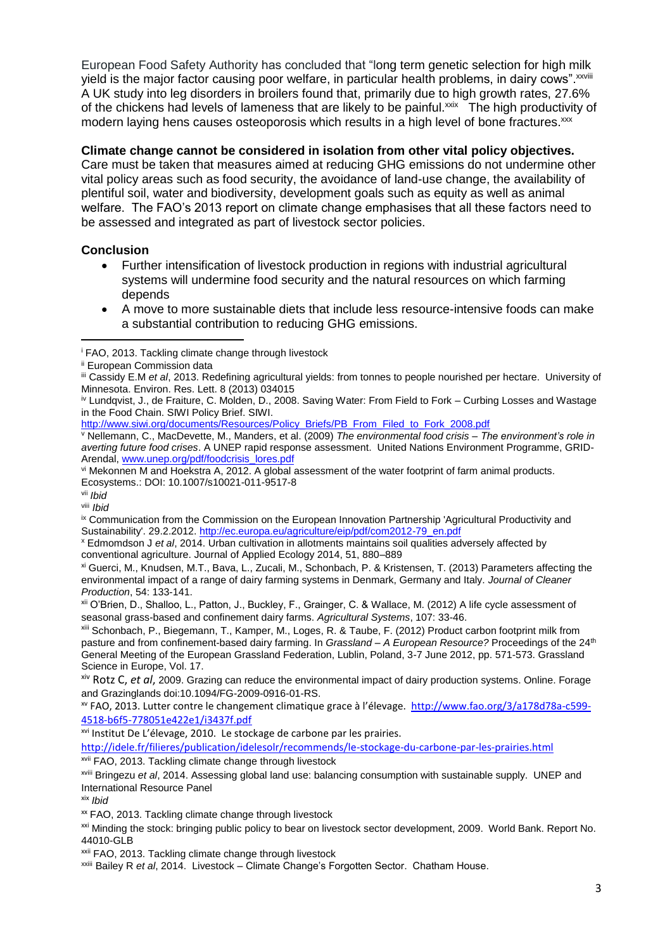European Food Safety Authority has concluded that "long term genetic selection for high milk yield is the major factor causing poor welfare, in particular health problems, in dairy cows". XXVIII A UK study into leg disorders in broilers found that, primarily due to high growth rates, 27.6% of the chickens had levels of lameness that are likely to be painful.<sup>xxix</sup> The high productivity of modern laying hens causes osteoporosis which results in a high level of bone fractures.<sup>xxx</sup>

## **Climate change cannot be considered in isolation from other vital policy objectives.**

Care must be taken that measures aimed at reducing GHG emissions do not undermine other vital policy areas such as food security, the avoidance of land-use change, the availability of plentiful soil, water and biodiversity, development goals such as equity as well as animal welfare. The FAO's 2013 report on climate change emphasises that all these factors need to be assessed and integrated as part of livestock sector policies.

# **Conclusion**

- Further intensification of livestock production in regions with industrial agricultural systems will undermine food security and the natural resources on which farming depends
- A move to more sustainable diets that include less resource-intensive foods can make a substantial contribution to reducing GHG emissions.

[http://www.siwi.org/documents/Resources/Policy\\_Briefs/PB\\_From\\_Filed\\_to\\_Fork\\_2008.pdf](http://www.siwi.org/documents/Resources/Policy_Briefs/PB_From_Filed_to_Fork_2008.pdf)

<sup>v</sup> Nellemann, C., MacDevette, M., Manders, et al. (2009) *The environmental food crisis – The environment's role in averting future food crises*. A UNEP rapid response assessment. United Nations Environment Programme, GRID-Arendal, [www.unep.org/pdf/foodcrisis\\_lores.pdf](http://www.unep.org/pdf/foodcrisis_lores.pdf)

vi Mekonnen M and Hoekstra A, 2012. A global assessment of the water footprint of farm animal products. Ecosystems.: DOI: 10.1007/s10021-011-9517-8

vii *Ibid*

**.** 

viii *Ibid*

ix Communication from the Commission on the European Innovation Partnership 'Agricultural Productivity and Sustainability'. 29.2.2012. [http://ec.europa.eu/agriculture/eip/pdf/com2012-79\\_en.pdf](http://ec.europa.eu/agriculture/eip/pdf/com2012-79_en.pdf)

<sup>x</sup> Edmomdson J *et al*, 2014. Urban cultivation in allotments maintains soil qualities adversely affected by conventional agriculture. Journal of Applied Ecology 2014, 51, 880–889

xi Guerci, M., Knudsen, M.T., Bava, L., Zucali, M., Schonbach, P. & Kristensen, T. (2013) Parameters affecting the environmental impact of a range of dairy farming systems in Denmark, Germany and Italy. *Journal of Cleaner Production*, 54: 133-141.

xii O'Brien, D., Shalloo, L., Patton, J., Buckley, F., Grainger, C. & Wallace, M. (2012) A life cycle assessment of seasonal grass-based and confinement dairy farms. *Agricultural Systems*, 107: 33-46.

xiii Schonbach, P., Biegemann, T., Kamper, M., Loges, R. & Taube, F. (2012) Product carbon footprint milk from pasture and from confinement-based dairy farming. In *Grassland - A European Resource?* Proceedings of the 24<sup>th</sup> General Meeting of the European Grassland Federation, Lublin, Poland, 3-7 June 2012, pp. 571-573. Grassland Science in Europe, Vol. 17.

xiv Rotz C, *et al*, 2009. Grazing can reduce the environmental impact of dairy production systems. Online. Forage and Grazinglands doi:10.1094/FG-2009-0916-01-RS.

xv FAO, 2013. Lutter contre le changement climatique grace à l'élevage. [http://www.fao.org/3/a178d78a-c599-](http://www.fao.org/3/a178d78a-c599-4518-b6f5-778051e422e1/i3437f.pdf) [4518-b6f5-778051e422e1/i3437f.pdf](http://www.fao.org/3/a178d78a-c599-4518-b6f5-778051e422e1/i3437f.pdf)

xvi Institut De L'élevage, 2010. Le stockage de carbone par les prairies.

<http://idele.fr/filieres/publication/idelesolr/recommends/le-stockage-du-carbone-par-les-prairies.html>

xvii FAO, 2013. Tackling climate change through livestock

xviii Bringezu *et al*, 2014. Assessing global land use: balancing consumption with sustainable supply. UNEP and International Resource Panel

xix *Ibid*

<sup>xxi</sup> Minding the stock: bringing public policy to bear on livestock sector development, 2009. World Bank, Report No. 44010-GLB

xxii FAO, 2013. Tackling climate change through livestock

xxiii Bailey R *et al*, 2014. Livestock – Climate Change's Forgotten Sector. Chatham House.

<sup>i</sup> FAO, 2013. Tackling climate change through livestock

ii European Commission data

iii Cassidy E.M *et al*, 2013. Redefining agricultural yields: from tonnes to people nourished per hectare. University of Minnesota. Environ. Res. Lett. 8 (2013) 034015

iv Lundqvist, J., de Fraiture, C. Molden, D., 2008. Saving Water: From Field to Fork – Curbing Losses and Wastage in the Food Chain. SIWI Policy Brief. SIWI.

xx FAO, 2013. Tackling climate change through livestock